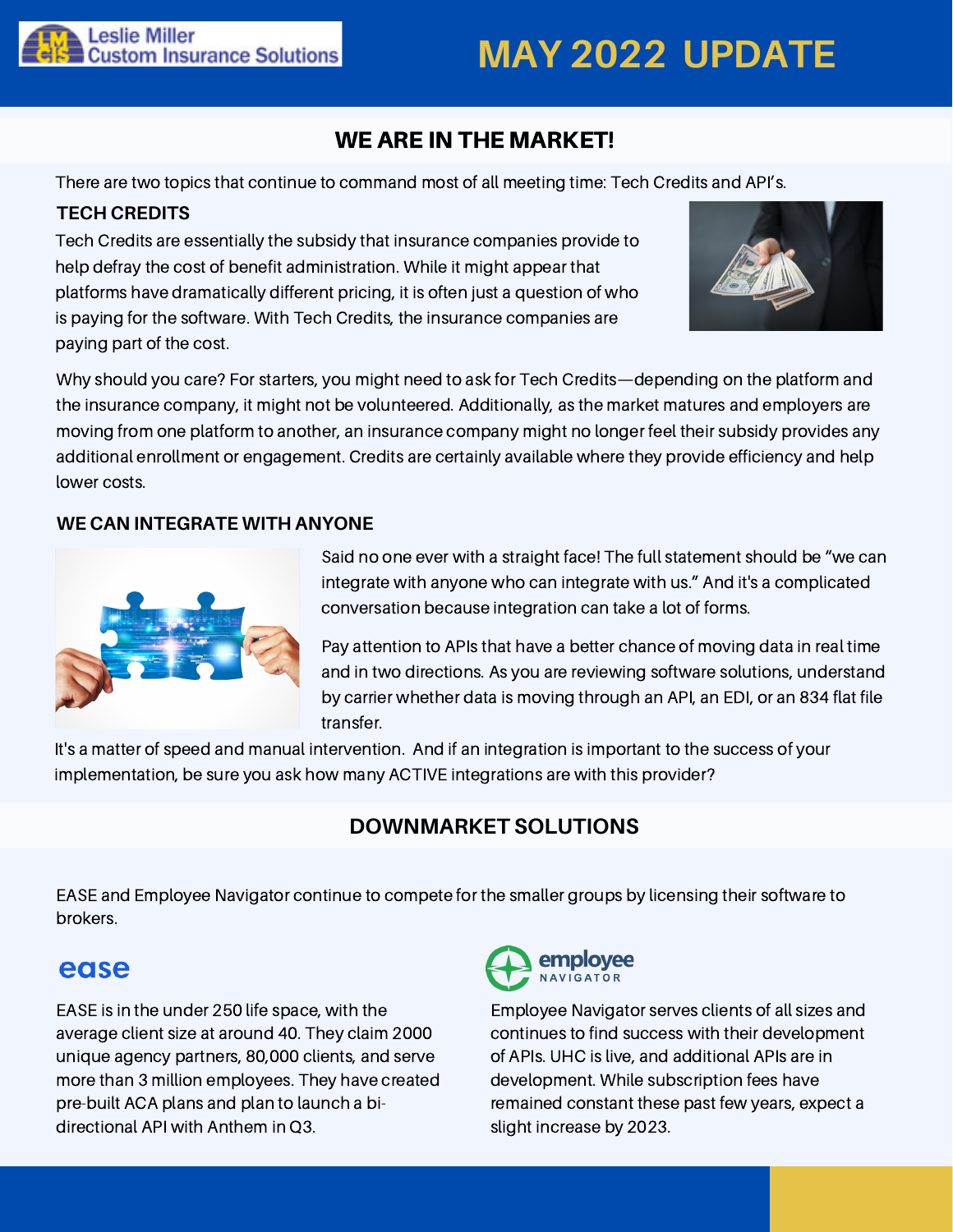

# **MAY 2022 UPDATE**

## WE ARE IN THE MARKET!

There are two topics that continue to command most of all meeting time: Tech Credits and API's.

#### **TECH CREDITS**

Tech Credits are essentially the subsidy that insurance companies provide to help defray the cost of benefit administration. While it might appear that platforms have dramatically different pricing, it is often just a question of who is paying for the software. With Tech Credits, the insurance companies are paying part of the cost.



Why should you care? For starters, you might need to ask for Tech Credits—depending on the platform and the insurance company, it might not be volunteered. Additionally, as the market matures and employers are moving from one platform to another, an insurance company might no longer feel their subsidy provides any additional enrollment or engagement. Credits are certainly available where they provide efficiency and help lower costs.

#### **WE CAN INTEGRATE WITH ANYONE**



Said no one ever with a straight face! The full statement should be "we can integrate with anyone who can integrate with us." And it's a complicated conversation because integration can take a lot of forms.

Pay attention to APIs that have a better chance of moving data in real time and in two directions. As you are reviewing software solutions, understand by carrier whether data is moving through an API, an EDI, or an 834 flat file transfer.

It's a matter of speed and manual intervention. And if an integration is important to the success of your implementation, be sure you ask how many ACTIVE integrations are with this provider?

## **DOWNMARKET SOLUTIONS**

EASE and Employee Navigator continue to compete for the smaller groups by licensing their software to brokers.

## ease

EASE is in the under 250 life space, with the average client size at around 40. They claim 2000 unique agency partners, 80,000 clients, and serve more than 3 million employees. They have created pre-built ACA plans and plan to launch a bidirectional API with Anthem in Q3.



Employee Navigator serves clients of all sizes and continues to find success with their development of APIs. UHC is live, and additional APIs are in development. While subscription fees have remained constant these past few years, expect a slight increase by 2023.